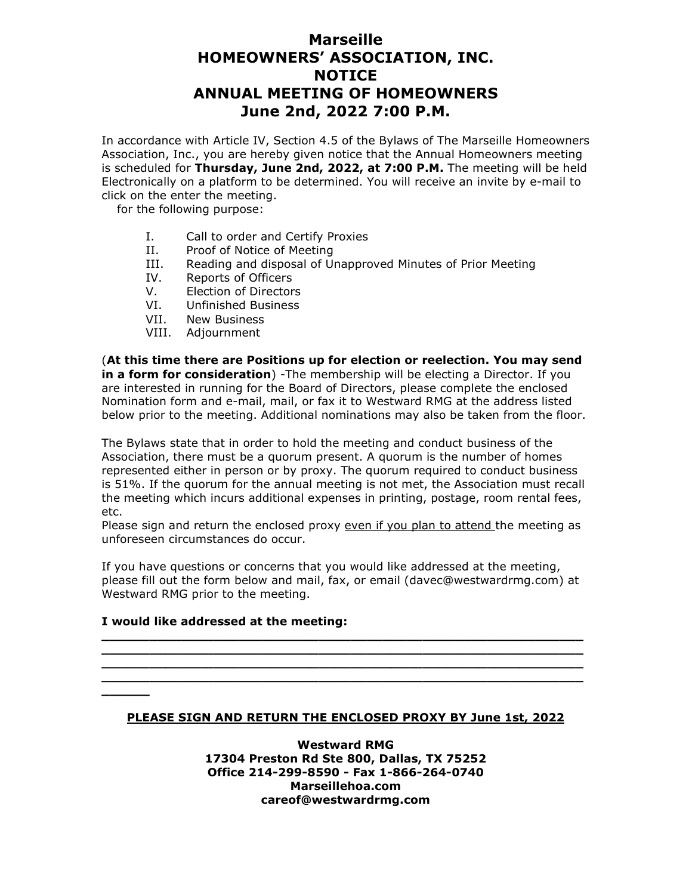## **Marseille HOMEOWNERS' ASSOCIATION, INC. NOTICE ANNUAL MEETING OF HOMEOWNERS June 2nd, 2022 7:00 P.M.**

In accordance with Article IV, Section 4.5 of the Bylaws of The Marseille Homeowners Association, Inc., you are hereby given notice that the Annual Homeowners meeting is scheduled for **Thursday, June 2nd, 2022, at 7:00 P.M.** The meeting will be held Electronically on a platform to be determined. You will receive an invite by e-mail to click on the enter the meeting.

for the following purpose:

- I. Call to order and Certify Proxies<br>II. Proof of Notice of Meeting
- Proof of Notice of Meeting
- III. Reading and disposal of Unapproved Minutes of Prior Meeting
- IV. Reports of Officers
- V. Election of Directors
- VI. Unfinished Business
- VII. New Business
- VIII. Adjournment

(**At this time there are Positions up for election or reelection. You may send in a form for consideration**) -The membership will be electing a Director. If you are interested in running for the Board of Directors, please complete the enclosed Nomination form and e-mail, mail, or fax it to Westward RMG at the address listed below prior to the meeting. Additional nominations may also be taken from the floor.

The Bylaws state that in order to hold the meeting and conduct business of the Association, there must be a quorum present. A quorum is the number of homes represented either in person or by proxy. The quorum required to conduct business is 51%. If the quorum for the annual meeting is not met, the Association must recall the meeting which incurs additional expenses in printing, postage, room rental fees, etc.

Please sign and return the enclosed proxy even if you plan to attend the meeting as unforeseen circumstances do occur.

If you have questions or concerns that you would like addressed at the meeting, please fill out the form below and mail, fax, or email (davec@westwardrmg.com) at Westward RMG prior to the meeting.

**\_\_\_\_\_\_\_\_\_\_\_\_\_\_\_\_\_\_\_\_\_\_\_\_\_\_\_\_\_\_\_\_\_\_\_\_\_\_\_\_\_\_\_\_\_\_\_\_\_\_\_\_\_\_\_\_\_\_\_\_ \_\_\_\_\_\_\_\_\_\_\_\_\_\_\_\_\_\_\_\_\_\_\_\_\_\_\_\_\_\_\_\_\_\_\_\_\_\_\_\_\_\_\_\_\_\_\_\_\_\_\_\_\_\_\_\_\_\_\_\_ \_\_\_\_\_\_\_\_\_\_\_\_\_\_\_\_\_\_\_\_\_\_\_\_\_\_\_\_\_\_\_\_\_\_\_\_\_\_\_\_\_\_\_\_\_\_\_\_\_\_\_\_\_\_\_\_\_\_\_\_ \_\_\_\_\_\_\_\_\_\_\_\_\_\_\_\_\_\_\_\_\_\_\_\_\_\_\_\_\_\_\_\_\_\_\_\_\_\_\_\_\_\_\_\_\_\_\_\_\_\_\_\_\_\_\_\_\_\_\_\_**

#### **I would like addressed at the meeting:**

**\_\_\_\_\_\_** 

#### **PLEASE SIGN AND RETURN THE ENCLOSED PROXY BY June 1st, 2022**

**Westward RMG 17304 Preston Rd Ste 800, Dallas, TX 75252 Office 214-299-8590 - Fax 1-866-264-0740 Marseillehoa.com careof@westwardrmg.com**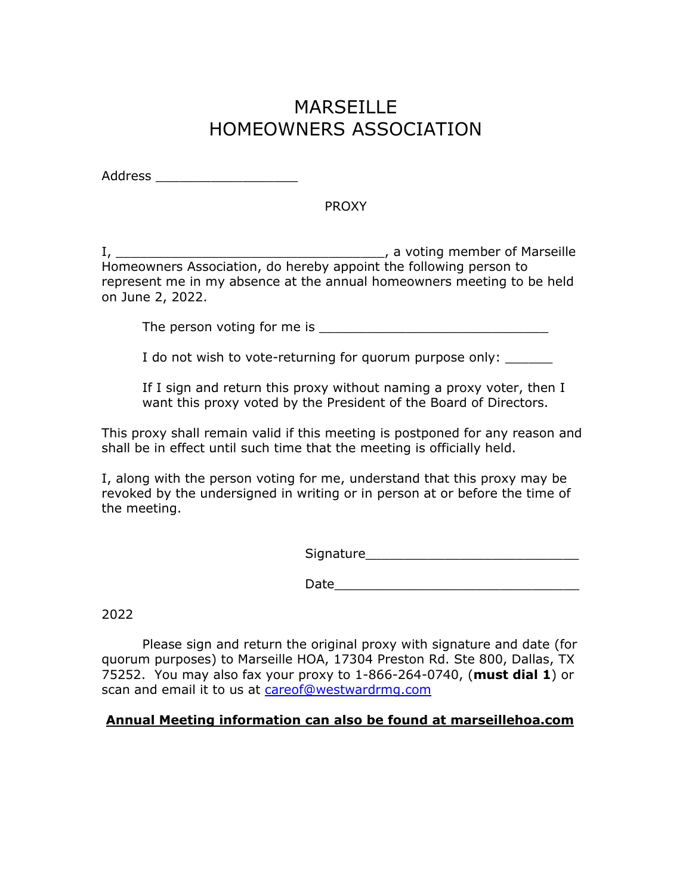# **MARSFILLE** HOMEOWNERS ASSOCIATION

| <b>Address</b> |  |  |
|----------------|--|--|
|----------------|--|--|

#### PROXY

I, \_\_\_\_\_\_\_\_\_\_\_\_\_\_\_\_\_\_\_\_\_\_\_\_\_\_\_\_\_\_\_\_\_\_, a voting member of Marseille Homeowners Association, do hereby appoint the following person to represent me in my absence at the annual homeowners meeting to be held on June 2, 2022.

The person voting for me is  $\blacksquare$ 

I do not wish to vote-returning for quorum purpose only:

If I sign and return this proxy without naming a proxy voter, then I want this proxy voted by the President of the Board of Directors.

This proxy shall remain valid if this meeting is postponed for any reason and shall be in effect until such time that the meeting is officially held.

I, along with the person voting for me, understand that this proxy may be revoked by the undersigned in writing or in person at or before the time of the meeting.

| - ·<br>.<br><b>COMP</b><br>אוכ<br>. <del>.</del> . |
|----------------------------------------------------|
|----------------------------------------------------|

Date\_\_\_\_\_\_\_\_\_\_\_\_\_\_\_\_\_\_\_\_\_\_\_\_\_\_\_\_\_\_\_

2022

 Please sign and return the original proxy with signature and date (for quorum purposes) to Marseille HOA, 17304 Preston Rd. Ste 800, Dallas, TX 75252. You may also fax your proxy to 1-866-264-0740, (**must dial 1**) or scan and email it to us at careof@westwardrmg.com

#### **Annual Meeting information can also be found at marseillehoa.com**